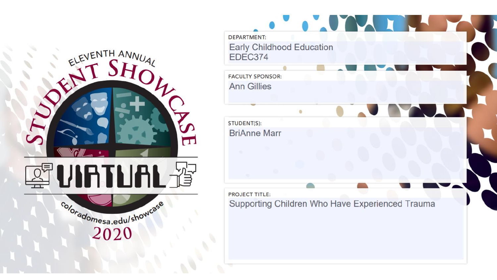

| <b>DEPARTMENT:</b><br><b>Early Childhood Education</b> |                                                 |  |
|--------------------------------------------------------|-------------------------------------------------|--|
| EDEC374                                                |                                                 |  |
| <b>FACULTY SPONSOR:</b>                                |                                                 |  |
| <b>Ann Gillies</b>                                     |                                                 |  |
|                                                        |                                                 |  |
| STUDENT(S):                                            |                                                 |  |
| <b>BriAnne Marr</b>                                    |                                                 |  |
| <b>PROJECT TITLE:</b>                                  |                                                 |  |
|                                                        | Supporting Children Who Have Experienced Trauma |  |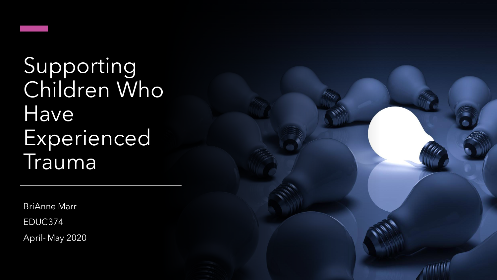

Supporting Children Who Have Experienced Trauma

BriAnne Marr

EDUC374

April- May 2020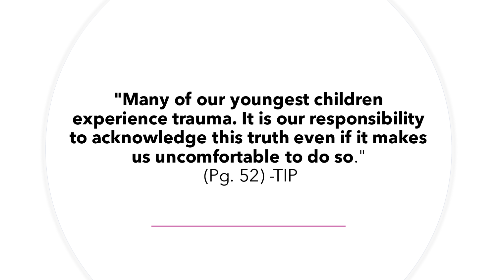**"Many of our youngest children experience trauma. It is our responsibility to acknowledge this truth even if it makes us uncomfortable to do so**." (Pg. 52) -TIP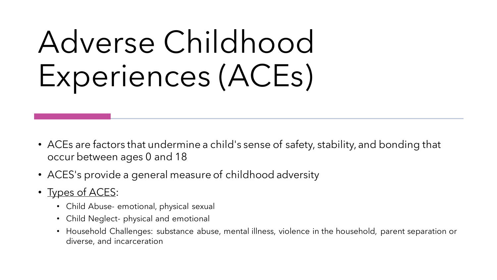# Adverse Childhood Experiences (ACEs)

- ACEs are factors that undermine a child's sense of safety, stability, and bonding that occur between ages 0 and 18
- ACES's provide a general measure of childhood adversity
- Types of ACES:
	- Child Abuse- emotional, physical sexual
	- Child Neglect- physical and emotional
	- Household Challenges: substance abuse, mental illness, violence in the household, parent separation or diverse, and incarceration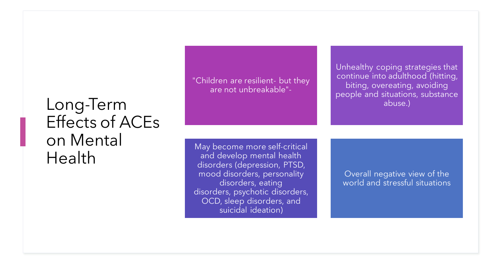### Long-Term Effects of ACEs on Mental Health

"Children are resilient- but they are not unbreakable"-

May become more self-critical and develop mental health disorders (depression, PTSD, mood disorders, personality disorders, eating disorders, psychotic disorders, OCD, sleep disorders, and suicidal ideation)

Unhealthy coping strategies that continue into adulthood (hitting, biting, overeating, avoiding people and situations, substance abuse.)

Overall negative view of the world and stressful situations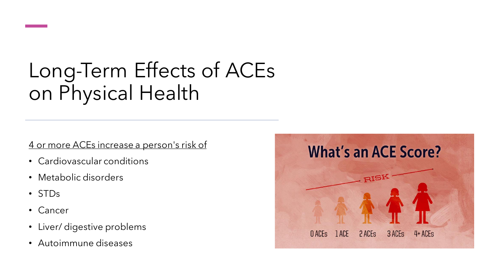# Long-Term Effects of ACEs on Physical Health

4 or more ACEs increase a person's risk of

- Cardiovascular conditions
- Metabolic disorders
- STDs
- Cancer
- Liver/ digestive problems
- Autoimmune diseases

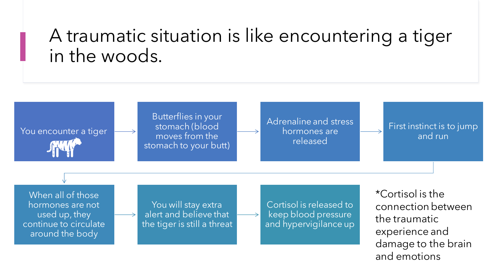### A traumatic situation is like encountering a tiger in the woods.

Butterflies in your stomach (blood moves from the stomach to your butt)

Adrenaline and stress hormones are released

First instinct is to jump and run

When all of those hormones are not used up, they continue to circulate around the body

You encounter a tiger

You will stay extra alert and believe that the tiger is still a threat

Cortisol is released to keep blood pressure and hypervigilance up

\*Cortisol is the connection between the traumatic experience and damage to the brain and emotions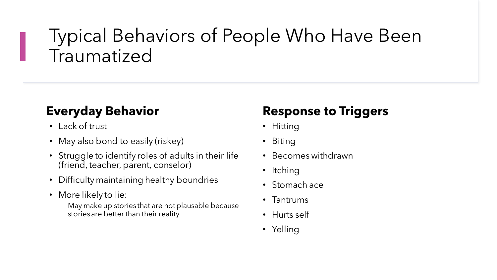## Typical Behaviors of People Who Have Been Traumatized

#### **Everyday Behavior**

- Lack of trust
- May also bond to easily (riskey)
- Struggle to identify roles of adults in their life (friend, teacher, parent, conselor)
- Difficulty maintaining healthy boundries
- More likely to lie:

May make up stories that are not plausable because stories are better than their reality

#### **Response to Triggers**

- Hitting
- Biting
- Becomes withdrawn
- Itching
- Stomach ace
- Tantrums
- Hurts self
- Yelling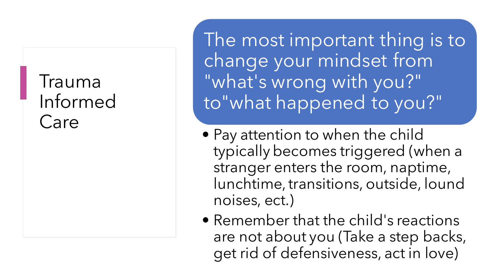### Trauma Informed Care

The most important thing is to change your mindset from "what's wrong with you?" to"what happened to you?"

- Pay attention to when the child typically becomes triggered (when a stranger enters the room, naptime, lunchtime, transitions, outside, lound noises, ect.)
- Remember that the child's reactions are not about you (Take a step backs, get rid of defensiveness, act in love)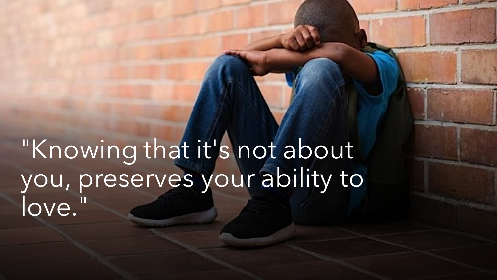"Knowing that it's not about you, preserves your ability to love."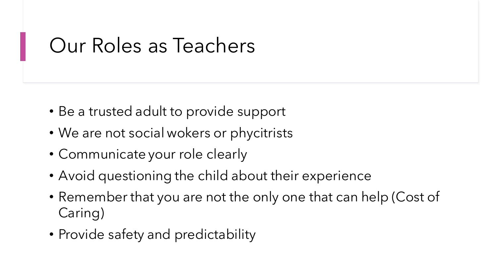# Our Roles as Teachers

- Be a trusted adult to provide support
- We are not social wokers or phycitrists
- Communicate your role clearly
- Avoid questioning the child about their experience
- Remember that you are not the only one that can help (Cost of Caring)
- Provide safety and predictability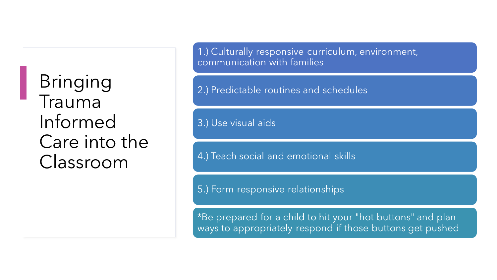Bringing Trauma Informed Care into the Classroom

1.) Culturally responsive curriculum, environment, communication with families

2.) Predictable routines and schedules

3.) Use visual aids

4.) Teach social and emotional skills

5.) Form responsive relationships

\*Be prepared for a child to hit your "hot buttons" and plan ways to appropriately respond if those buttons get pushed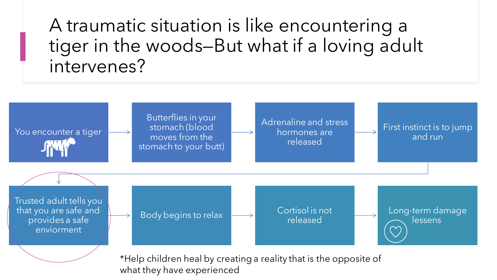A traumatic situation is like encountering a tiger in the woods—But what if a loving adult intervenes?



what they have experienced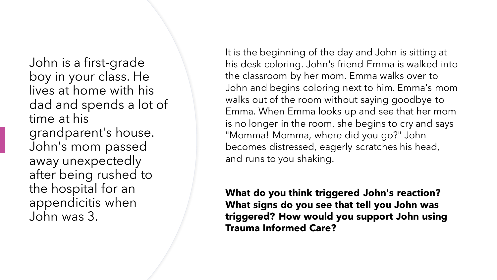John is a first-grade boy in your class. He lives at home with his dad and spends a lot of time at his grandparent's house. John's mom passed away unexpectedly after being rushed to the hospital for an appendicitis when John was 3.

It is the beginning of the day and John is sitting at his desk coloring. John's friend Emma is walked into the classroom by her mom. Emma walks over to John and begins coloring next to him. Emma's mom walks out of the room without saying goodbye to Emma. When Emma looks up and see that her mom is no longer in the room, she begins to cry and says "Momma! Momma, where did you go?" John becomes distressed, eagerly scratches his head, and runs to you shaking.

**What do you think triggered John's reaction? What signs do you see that tell you John was triggered? How would you support John using Trauma Informed Care?**